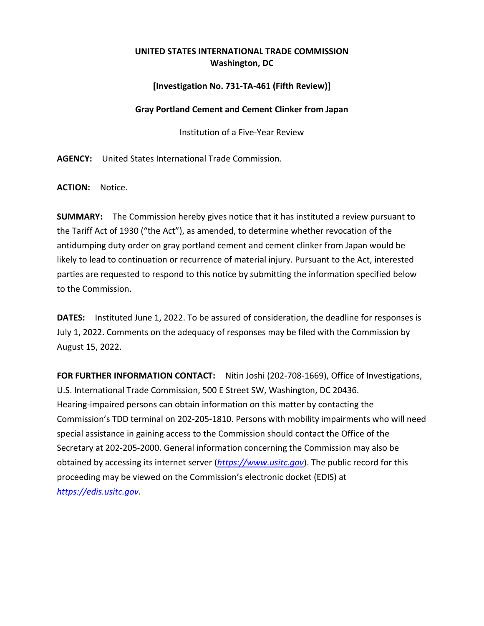## **UNITED STATES INTERNATIONAL TRADE COMMISSION Washington, DC**

## **[Investigation No. 731-TA-461 (Fifth Review)]**

## **Gray Portland Cement and Cement Clinker from Japan**

Institution of a Five-Year Review

**AGENCY:** United States International Trade Commission.

**ACTION:** Notice.

**SUMMARY:** The Commission hereby gives notice that it has instituted a review pursuant to the Tariff Act of 1930 ("the Act"), as amended, to determine whether revocation of the antidumping duty order on gray portland cement and cement clinker from Japan would be likely to lead to continuation or recurrence of material injury. Pursuant to the Act, interested parties are requested to respond to this notice by submitting the information specified below to the Commission.

**DATES:** Instituted June 1, 2022. To be assured of consideration, the deadline for responses is July 1, 2022. Comments on the adequacy of responses may be filed with the Commission by August 15, 2022.

**FOR FURTHER INFORMATION CONTACT:** Nitin Joshi (202-708-1669), Office of Investigations, U.S. International Trade Commission, 500 E Street SW, Washington, DC 20436. Hearing-impaired persons can obtain information on this matter by contacting the Commission's TDD terminal on 202-205-1810. Persons with mobility impairments who will need special assistance in gaining access to the Commission should contact the Office of the Secretary at 202-205-2000. General information concerning the Commission may also be obtained by accessing its internet server (*[https://www.usitc.gov](https://www.usitc.gov/)*). The public record for this proceeding may be viewed on the Commission's electronic docket (EDIS) at *[https://edis.usitc.gov](https://edis.usitc.gov/)*.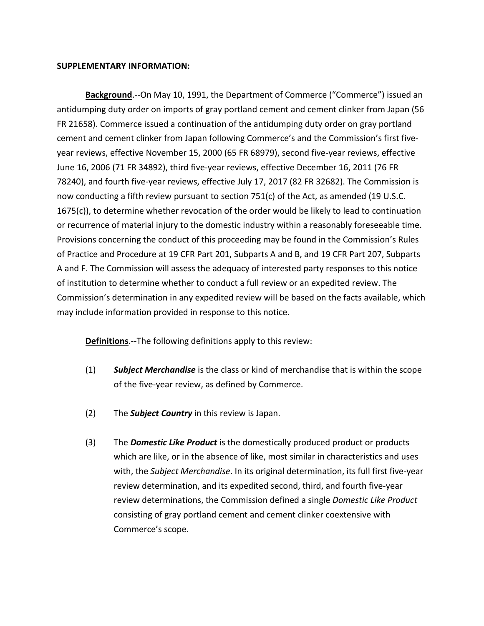## **SUPPLEMENTARY INFORMATION:**

**Background**.--On May 10, 1991, the Department of Commerce ("Commerce") issued an antidumping duty order on imports of gray portland cement and cement clinker from Japan (56 FR 21658). Commerce issued a continuation of the antidumping duty order on gray portland cement and cement clinker from Japan following Commerce's and the Commission's first fiveyear reviews, effective November 15, 2000 (65 FR 68979), second five-year reviews, effective June 16, 2006 (71 FR 34892), third five-year reviews, effective December 16, 2011 (76 FR 78240), and fourth five-year reviews, effective July 17, 2017 (82 FR 32682). The Commission is now conducting a fifth review pursuant to section 751(c) of the Act, as amended (19 U.S.C. 1675(c)), to determine whether revocation of the order would be likely to lead to continuation or recurrence of material injury to the domestic industry within a reasonably foreseeable time. Provisions concerning the conduct of this proceeding may be found in the Commission's Rules of Practice and Procedure at 19 CFR Part 201, Subparts A and B, and 19 CFR Part 207, Subparts A and F. The Commission will assess the adequacy of interested party responses to this notice of institution to determine whether to conduct a full review or an expedited review. The Commission's determination in any expedited review will be based on the facts available, which may include information provided in response to this notice.

**Definitions**.--The following definitions apply to this review:

- (1) *Subject Merchandise* is the class or kind of merchandise that is within the scope of the five-year review, as defined by Commerce.
- (2) The *Subject Country* in this review is Japan.
- (3) The *Domestic Like Product* is the domestically produced product or products which are like, or in the absence of like, most similar in characteristics and uses with, the *Subject Merchandise*. In its original determination, its full first five-year review determination, and its expedited second, third, and fourth five-year review determinations, the Commission defined a single *Domestic Like Product* consisting of gray portland cement and cement clinker coextensive with Commerce's scope.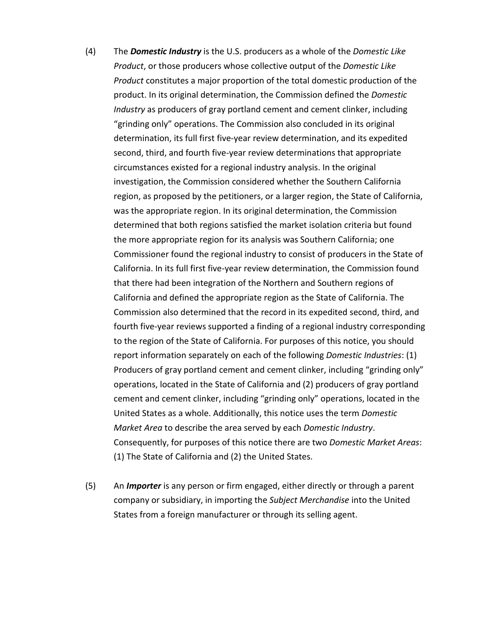- (4) The *Domestic Industry* is the U.S. producers as a whole of the *Domestic Like Product*, or those producers whose collective output of the *Domestic Like Product* constitutes a major proportion of the total domestic production of the product. In its original determination, the Commission defined the *Domestic Industry* as producers of gray portland cement and cement clinker, including "grinding only" operations. The Commission also concluded in its original determination, its full first five-year review determination, and its expedited second, third, and fourth five-year review determinations that appropriate circumstances existed for a regional industry analysis. In the original investigation, the Commission considered whether the Southern California region, as proposed by the petitioners, or a larger region, the State of California, was the appropriate region. In its original determination, the Commission determined that both regions satisfied the market isolation criteria but found the more appropriate region for its analysis was Southern California; one Commissioner found the regional industry to consist of producers in the State of California. In its full first five-year review determination, the Commission found that there had been integration of the Northern and Southern regions of California and defined the appropriate region as the State of California. The Commission also determined that the record in its expedited second, third, and fourth five-year reviews supported a finding of a regional industry corresponding to the region of the State of California. For purposes of this notice, you should report information separately on each of the following *Domestic Industries*: (1) Producers of gray portland cement and cement clinker, including "grinding only" operations, located in the State of California and (2) producers of gray portland cement and cement clinker, including "grinding only" operations, located in the United States as a whole. Additionally, this notice uses the term *Domestic Market Area* to describe the area served by each *Domestic Industry*. Consequently, for purposes of this notice there are two *Domestic Market Areas*: (1) The State of California and (2) the United States.
- (5) An *Importer* is any person or firm engaged, either directly or through a parent company or subsidiary, in importing the *Subject Merchandise* into the United States from a foreign manufacturer or through its selling agent.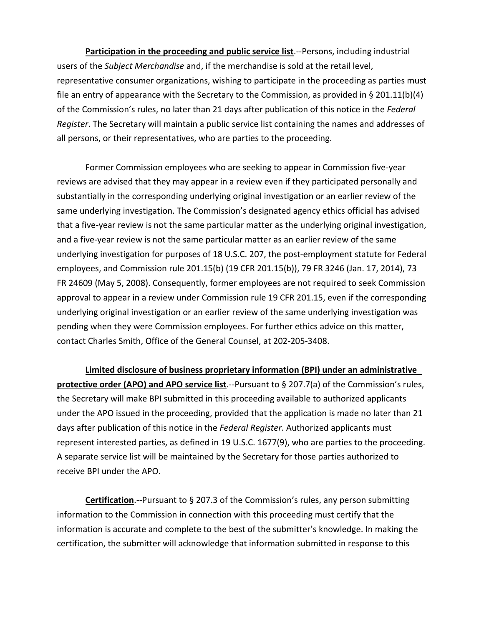**Participation in the proceeding and public service list**.--Persons, including industrial users of the *Subject Merchandise* and, if the merchandise is sold at the retail level, representative consumer organizations, wishing to participate in the proceeding as parties must file an entry of appearance with the Secretary to the Commission, as provided in § 201.11(b)(4) of the Commission's rules, no later than 21 days after publication of this notice in the *Federal Register*. The Secretary will maintain a public service list containing the names and addresses of all persons, or their representatives, who are parties to the proceeding.

Former Commission employees who are seeking to appear in Commission five-year reviews are advised that they may appear in a review even if they participated personally and substantially in the corresponding underlying original investigation or an earlier review of the same underlying investigation. The Commission's designated agency ethics official has advised that a five-year review is not the same particular matter as the underlying original investigation, and a five-year review is not the same particular matter as an earlier review of the same underlying investigation for purposes of 18 U.S.C. 207, the post-employment statute for Federal employees, and Commission rule 201.15(b) (19 CFR 201.15(b)), 79 FR 3246 (Jan. 17, 2014), 73 FR 24609 (May 5, 2008). Consequently, former employees are not required to seek Commission approval to appear in a review under Commission rule 19 CFR 201.15, even if the corresponding underlying original investigation or an earlier review of the same underlying investigation was pending when they were Commission employees. For further ethics advice on this matter, contact Charles Smith, Office of the General Counsel, at 202-205-3408.

**Limited disclosure of business proprietary information (BPI) under an administrative protective order (APO) and APO service list**.--Pursuant to § 207.7(a) of the Commission's rules, the Secretary will make BPI submitted in this proceeding available to authorized applicants under the APO issued in the proceeding, provided that the application is made no later than 21 days after publication of this notice in the *Federal Register*. Authorized applicants must represent interested parties, as defined in 19 U.S.C. 1677(9), who are parties to the proceeding. A separate service list will be maintained by the Secretary for those parties authorized to receive BPI under the APO.

**Certification**.--Pursuant to § 207.3 of the Commission's rules, any person submitting information to the Commission in connection with this proceeding must certify that the information is accurate and complete to the best of the submitter's knowledge. In making the certification, the submitter will acknowledge that information submitted in response to this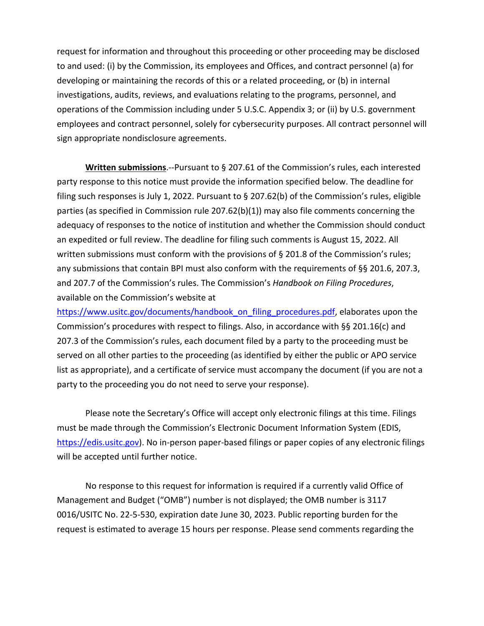request for information and throughout this proceeding or other proceeding may be disclosed to and used: (i) by the Commission, its employees and Offices, and contract personnel (a) for developing or maintaining the records of this or a related proceeding, or (b) in internal investigations, audits, reviews, and evaluations relating to the programs, personnel, and operations of the Commission including under 5 U.S.C. Appendix 3; or (ii) by U.S. government employees and contract personnel, solely for cybersecurity purposes. All contract personnel will sign appropriate nondisclosure agreements.

**Written submissions**.--Pursuant to § 207.61 of the Commission's rules, each interested party response to this notice must provide the information specified below. The deadline for filing such responses is July 1, 2022. Pursuant to § 207.62(b) of the Commission's rules, eligible parties (as specified in Commission rule 207.62(b)(1)) may also file comments concerning the adequacy of responses to the notice of institution and whether the Commission should conduct an expedited or full review. The deadline for filing such comments is August 15, 2022. All written submissions must conform with the provisions of § 201.8 of the Commission's rules; any submissions that contain BPI must also conform with the requirements of §§ 201.6, 207.3, and 207.7 of the Commission's rules. The Commission's *Handbook on Filing Procedures*, available on the Commission's website at

[https://www.usitc.gov/documents/handbook\\_on\\_filing\\_procedures.pdf,](https://www.usitc.gov/documents/handbook_on_filing_procedures.pdf) elaborates upon the Commission's procedures with respect to filings. Also, in accordance with §§ 201.16(c) and 207.3 of the Commission's rules, each document filed by a party to the proceeding must be served on all other parties to the proceeding (as identified by either the public or APO service list as appropriate), and a certificate of service must accompany the document (if you are not a party to the proceeding you do not need to serve your response).

Please note the Secretary's Office will accept only electronic filings at this time. Filings must be made through the Commission's Electronic Document Information System (EDIS, [https://edis.usitc.gov\)](https://edis.usitc.gov/). No in-person paper-based filings or paper copies of any electronic filings will be accepted until further notice.

No response to this request for information is required if a currently valid Office of Management and Budget ("OMB") number is not displayed; the OMB number is 3117 0016/USITC No. 22-5-530, expiration date June 30, 2023. Public reporting burden for the request is estimated to average 15 hours per response. Please send comments regarding the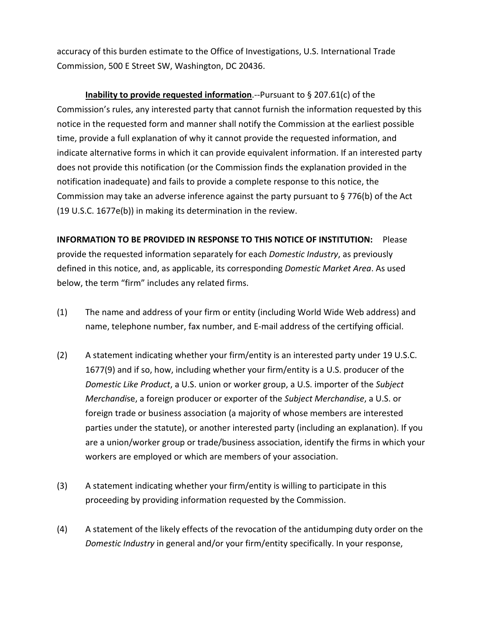accuracy of this burden estimate to the Office of Investigations, U.S. International Trade Commission, 500 E Street SW, Washington, DC 20436.

**Inability to provide requested information**.--Pursuant to § 207.61(c) of the Commission's rules, any interested party that cannot furnish the information requested by this notice in the requested form and manner shall notify the Commission at the earliest possible time, provide a full explanation of why it cannot provide the requested information, and indicate alternative forms in which it can provide equivalent information. If an interested party does not provide this notification (or the Commission finds the explanation provided in the notification inadequate) and fails to provide a complete response to this notice, the Commission may take an adverse inference against the party pursuant to § 776(b) of the Act (19 U.S.C. 1677e(b)) in making its determination in the review.

**INFORMATION TO BE PROVIDED IN RESPONSE TO THIS NOTICE OF INSTITUTION:** Please provide the requested information separately for each *Domestic Industry*, as previously defined in this notice, and, as applicable, its corresponding *Domestic Market Area*. As used below, the term "firm" includes any related firms.

- (1) The name and address of your firm or entity (including World Wide Web address) and name, telephone number, fax number, and E-mail address of the certifying official.
- (2) A statement indicating whether your firm/entity is an interested party under 19 U.S.C. 1677(9) and if so, how, including whether your firm/entity is a U.S. producer of the *Domestic Like Product*, a U.S. union or worker group, a U.S. importer of the *Subject Merchandi*se, a foreign producer or exporter of the *Subject Merchandise*, a U.S. or foreign trade or business association (a majority of whose members are interested parties under the statute), or another interested party (including an explanation). If you are a union/worker group or trade/business association, identify the firms in which your workers are employed or which are members of your association.
- (3) A statement indicating whether your firm/entity is willing to participate in this proceeding by providing information requested by the Commission.
- (4) A statement of the likely effects of the revocation of the antidumping duty order on the *Domestic Industry* in general and/or your firm/entity specifically. In your response,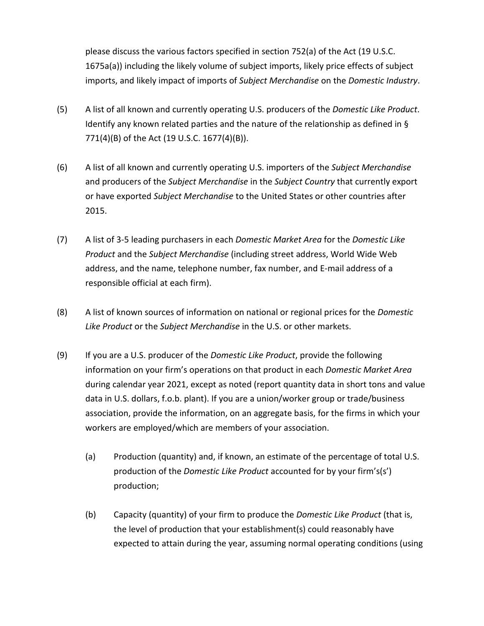please discuss the various factors specified in section 752(a) of the Act (19 U.S.C. 1675a(a)) including the likely volume of subject imports, likely price effects of subject imports, and likely impact of imports of *Subject Merchandise* on the *Domestic Industry*.

- (5) A list of all known and currently operating U.S. producers of the *Domestic Like Product*. Identify any known related parties and the nature of the relationship as defined in § 771(4)(B) of the Act (19 U.S.C. 1677(4)(B)).
- (6) A list of all known and currently operating U.S. importers of the *Subject Merchandise* and producers of the *Subject Merchandise* in the *Subject Country* that currently export or have exported *Subject Merchandise* to the United States or other countries after 2015.
- (7) A list of 3-5 leading purchasers in each *Domestic Market Area* for the *Domestic Like Product* and the *Subject Merchandise* (including street address, World Wide Web address, and the name, telephone number, fax number, and E-mail address of a responsible official at each firm).
- (8) A list of known sources of information on national or regional prices for the *Domestic Like Product* or the *Subject Merchandise* in the U.S. or other markets.
- (9) If you are a U.S. producer of the *Domestic Like Product*, provide the following information on your firm's operations on that product in each *Domestic Market Area* during calendar year 2021, except as noted (report quantity data in short tons and value data in U.S. dollars, f.o.b. plant). If you are a union/worker group or trade/business association, provide the information, on an aggregate basis, for the firms in which your workers are employed/which are members of your association.
	- (a) Production (quantity) and, if known, an estimate of the percentage of total U.S. production of the *Domestic Like Product* accounted for by your firm's(s') production;
	- (b) Capacity (quantity) of your firm to produce the *Domestic Like Product* (that is, the level of production that your establishment(s) could reasonably have expected to attain during the year, assuming normal operating conditions (using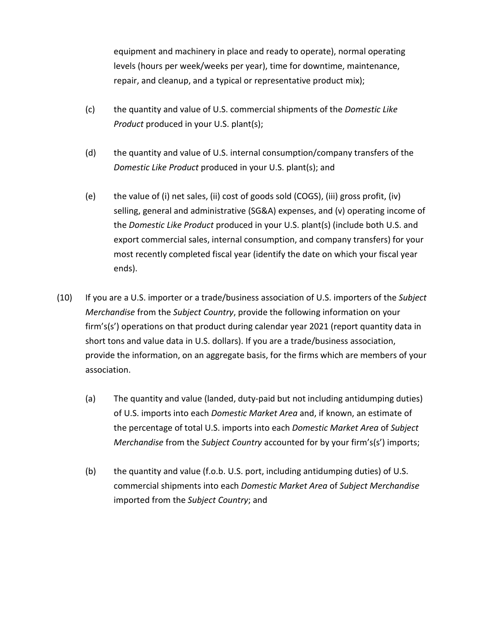equipment and machinery in place and ready to operate), normal operating levels (hours per week/weeks per year), time for downtime, maintenance, repair, and cleanup, and a typical or representative product mix);

- (c) the quantity and value of U.S. commercial shipments of the *Domestic Like Product* produced in your U.S. plant(s);
- (d) the quantity and value of U.S. internal consumption/company transfers of the *Domestic Like Product* produced in your U.S. plant(s); and
- (e) the value of (i) net sales, (ii) cost of goods sold (COGS), (iii) gross profit, (iv) selling, general and administrative (SG&A) expenses, and (v) operating income of the *Domestic Like Product* produced in your U.S. plant(s) (include both U.S. and export commercial sales, internal consumption, and company transfers) for your most recently completed fiscal year (identify the date on which your fiscal year ends).
- (10) If you are a U.S. importer or a trade/business association of U.S. importers of the *Subject Merchandise* from the *Subject Country*, provide the following information on your firm's(s') operations on that product during calendar year 2021 (report quantity data in short tons and value data in U.S. dollars). If you are a trade/business association, provide the information, on an aggregate basis, for the firms which are members of your association.
	- (a) The quantity and value (landed, duty-paid but not including antidumping duties) of U.S. imports into each *Domestic Market Area* and, if known, an estimate of the percentage of total U.S. imports into each *Domestic Market Area* of *Subject Merchandise* from the *Subject Country* accounted for by your firm's(s') imports;
	- (b) the quantity and value (f.o.b. U.S. port, including antidumping duties) of U.S. commercial shipments into each *Domestic Market Area* of *Subject Merchandise* imported from the *Subject Country*; and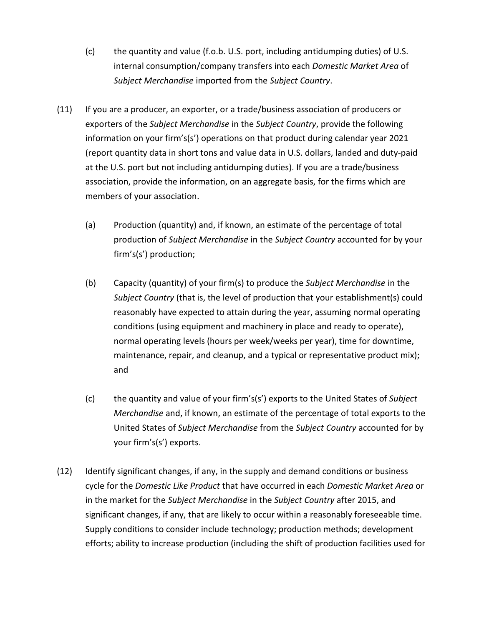- (c) the quantity and value (f.o.b. U.S. port, including antidumping duties) of U.S. internal consumption/company transfers into each *Domestic Market Area* of *Subject Merchandise* imported from the *Subject Country*.
- (11) If you are a producer, an exporter, or a trade/business association of producers or exporters of the *Subject Merchandise* in the *Subject Country*, provide the following information on your firm's(s') operations on that product during calendar year 2021 (report quantity data in short tons and value data in U.S. dollars, landed and duty-paid at the U.S. port but not including antidumping duties). If you are a trade/business association, provide the information, on an aggregate basis, for the firms which are members of your association.
	- (a) Production (quantity) and, if known, an estimate of the percentage of total production of *Subject Merchandise* in the *Subject Country* accounted for by your firm's(s') production;
	- (b) Capacity (quantity) of your firm(s) to produce the *Subject Merchandise* in the *Subject Country* (that is, the level of production that your establishment(s) could reasonably have expected to attain during the year, assuming normal operating conditions (using equipment and machinery in place and ready to operate), normal operating levels (hours per week/weeks per year), time for downtime, maintenance, repair, and cleanup, and a typical or representative product mix); and
	- (c) the quantity and value of your firm's(s') exports to the United States of *Subject Merchandise* and, if known, an estimate of the percentage of total exports to the United States of *Subject Merchandise* from the *Subject Country* accounted for by your firm's(s') exports.
- (12) Identify significant changes, if any, in the supply and demand conditions or business cycle for the *Domestic Like Product* that have occurred in each *Domestic Market Area* or in the market for the *Subject Merchandise* in the *Subject Country* after 2015, and significant changes, if any, that are likely to occur within a reasonably foreseeable time. Supply conditions to consider include technology; production methods; development efforts; ability to increase production (including the shift of production facilities used for